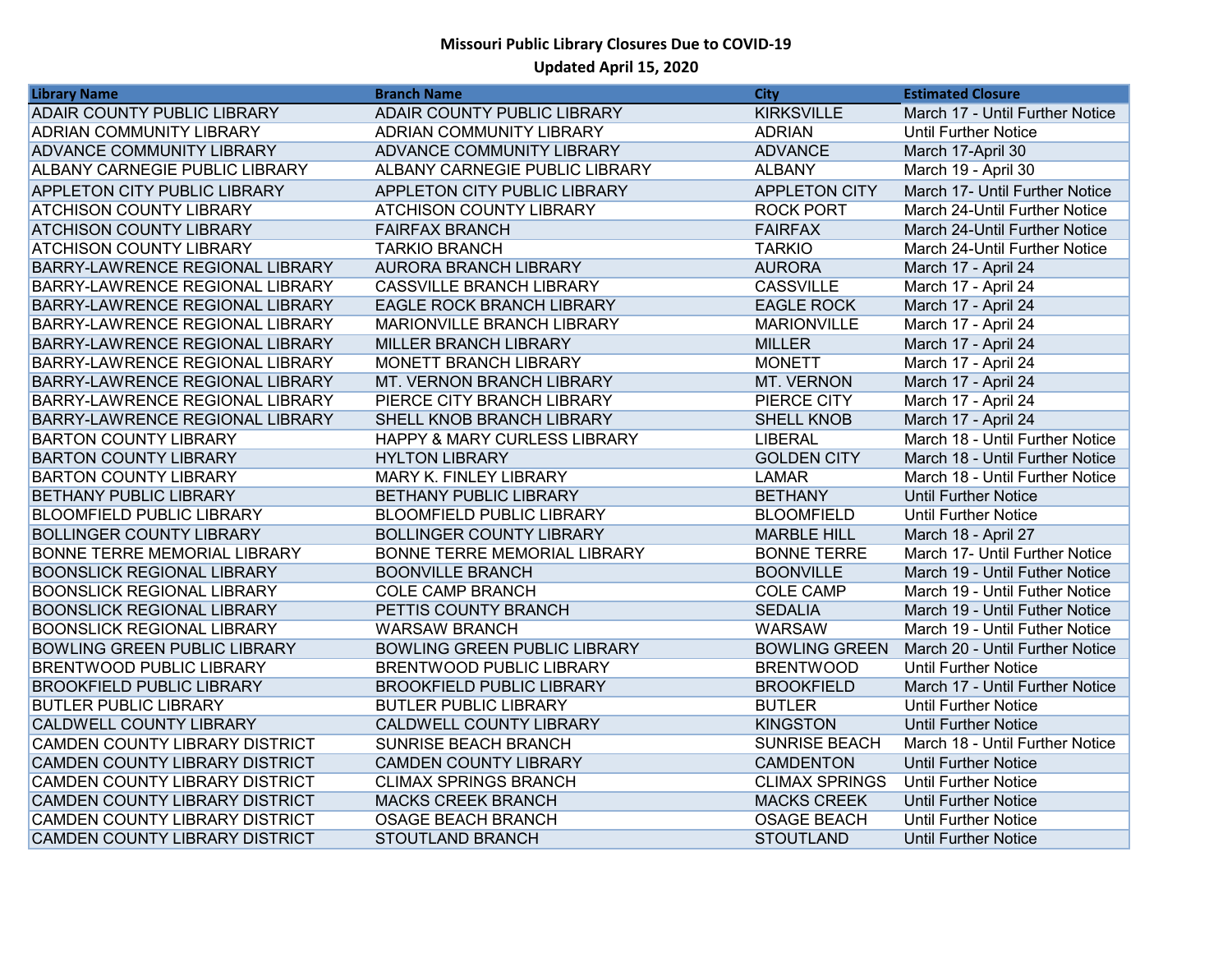| <b>Library Name</b>                    | <b>Branch Name</b>                      | City                  | <b>Estimated Closure</b>        |
|----------------------------------------|-----------------------------------------|-----------------------|---------------------------------|
| <b>ADAIR COUNTY PUBLIC LIBRARY</b>     | <b>ADAIR COUNTY PUBLIC LIBRARY</b>      | <b>KIRKSVILLE</b>     | March 17 - Until Further Notice |
| <b>ADRIAN COMMUNITY LIBRARY</b>        | ADRIAN COMMUNITY LIBRARY                | <b>ADRIAN</b>         | <b>Until Further Notice</b>     |
| <b>ADVANCE COMMUNITY LIBRARY</b>       | ADVANCE COMMUNITY LIBRARY               | <b>ADVANCE</b>        | March 17-April 30               |
| <b>ALBANY CARNEGIE PUBLIC LIBRARY</b>  | ALBANY CARNEGIE PUBLIC LIBRARY          | <b>ALBANY</b>         | March 19 - April 30             |
| <b>APPLETON CITY PUBLIC LIBRARY</b>    | APPLETON CITY PUBLIC LIBRARY            | <b>APPLETON CITY</b>  | March 17- Until Further Notice  |
| <b>ATCHISON COUNTY LIBRARY</b>         | ATCHISON COUNTY LIBRARY                 | <b>ROCK PORT</b>      | March 24-Until Further Notice   |
| <b>ATCHISON COUNTY LIBRARY</b>         | <b>FAIRFAX BRANCH</b>                   | <b>FAIRFAX</b>        | March 24-Until Further Notice   |
| <b>ATCHISON COUNTY LIBRARY</b>         | <b>TARKIO BRANCH</b>                    | <b>TARKIO</b>         | March 24-Until Further Notice   |
| <b>BARRY-LAWRENCE REGIONAL LIBRARY</b> | <b>AURORA BRANCH LIBRARY</b>            | <b>AURORA</b>         | March 17 - April 24             |
| <b>BARRY-LAWRENCE REGIONAL LIBRARY</b> | <b>CASSVILLE BRANCH LIBRARY</b>         | <b>CASSVILLE</b>      | March 17 - April 24             |
| BARRY-LAWRENCE REGIONAL LIBRARY        | EAGLE ROCK BRANCH LIBRARY               | <b>EAGLE ROCK</b>     | March 17 - April 24             |
| <b>BARRY-LAWRENCE REGIONAL LIBRARY</b> | MARIONVILLE BRANCH LIBRARY              | <b>MARIONVILLE</b>    | March 17 - April 24             |
| <b>BARRY-LAWRENCE REGIONAL LIBRARY</b> | MILLER BRANCH LIBRARY                   | <b>MILLER</b>         | March 17 - April 24             |
| <b>BARRY-LAWRENCE REGIONAL LIBRARY</b> | MONETT BRANCH LIBRARY                   | <b>MONETT</b>         | March 17 - April 24             |
| <b>BARRY-LAWRENCE REGIONAL LIBRARY</b> | MT. VERNON BRANCH LIBRARY               | MT. VERNON            | March 17 - April 24             |
| <b>BARRY-LAWRENCE REGIONAL LIBRARY</b> | PIERCE CITY BRANCH LIBRARY              | PIERCE CITY           | March 17 - April 24             |
| BARRY-LAWRENCE REGIONAL LIBRARY        | SHELL KNOB BRANCH LIBRARY               | <b>SHELL KNOB</b>     | March 17 - April 24             |
| <b>BARTON COUNTY LIBRARY</b>           | <b>HAPPY &amp; MARY CURLESS LIBRARY</b> | <b>LIBERAL</b>        | March 18 - Until Further Notice |
| <b>BARTON COUNTY LIBRARY</b>           | <b>HYLTON LIBRARY</b>                   | <b>GOLDEN CITY</b>    | March 18 - Until Further Notice |
| <b>BARTON COUNTY LIBRARY</b>           | MARY K. FINLEY LIBRARY                  | <b>LAMAR</b>          | March 18 - Until Further Notice |
| <b>BETHANY PUBLIC LIBRARY</b>          | BETHANY PUBLIC LIBRARY                  | <b>BETHANY</b>        | <b>Until Further Notice</b>     |
| <b>BLOOMFIELD PUBLIC LIBRARY</b>       | <b>BLOOMFIELD PUBLIC LIBRARY</b>        | <b>BLOOMFIELD</b>     | Until Further Notice            |
| <b>BOLLINGER COUNTY LIBRARY</b>        | BOLLINGER COUNTY LIBRARY                | <b>MARBLE HILL</b>    | March 18 - April 27             |
| <b>BONNE TERRE MEMORIAL LIBRARY</b>    | BONNE TERRE MEMORIAL LIBRARY            | <b>BONNE TERRE</b>    | March 17- Until Further Notice  |
| <b>BOONSLICK REGIONAL LIBRARY</b>      | <b>BOONVILLE BRANCH</b>                 | <b>BOONVILLE</b>      | March 19 - Until Futher Notice  |
| <b>BOONSLICK REGIONAL LIBRARY</b>      | <b>COLE CAMP BRANCH</b>                 | <b>COLE CAMP</b>      | March 19 - Until Futher Notice  |
| <b>BOONSLICK REGIONAL LIBRARY</b>      | PETTIS COUNTY BRANCH                    | <b>SEDALIA</b>        | March 19 - Until Futher Notice  |
| <b>BOONSLICK REGIONAL LIBRARY</b>      | <b>WARSAW BRANCH</b>                    | <b>WARSAW</b>         | March 19 - Until Futher Notice  |
| <b>BOWLING GREEN PUBLIC LIBRARY</b>    | <b>BOWLING GREEN PUBLIC LIBRARY</b>     | <b>BOWLING GREEN</b>  | March 20 - Until Further Notice |
| <b>BRENTWOOD PUBLIC LIBRARY</b>        | BRENTWOOD PUBLIC LIBRARY                | <b>BRENTWOOD</b>      | <b>Until Further Notice</b>     |
| <b>BROOKFIELD PUBLIC LIBRARY</b>       | <b>BROOKFIELD PUBLIC LIBRARY</b>        | <b>BROOKFIELD</b>     | March 17 - Until Further Notice |
| <b>BUTLER PUBLIC LIBRARY</b>           | <b>BUTLER PUBLIC LIBRARY</b>            | <b>BUTLER</b>         | <b>Until Further Notice</b>     |
| <b>CALDWELL COUNTY LIBRARY</b>         | CALDWELL COUNTY LIBRARY                 | <b>KINGSTON</b>       | <b>Until Further Notice</b>     |
| <b>CAMDEN COUNTY LIBRARY DISTRICT</b>  | SUNRISE BEACH BRANCH                    | <b>SUNRISE BEACH</b>  | March 18 - Until Further Notice |
| CAMDEN COUNTY LIBRARY DISTRICT         | <b>CAMDEN COUNTY LIBRARY</b>            | <b>CAMDENTON</b>      | <b>Until Further Notice</b>     |
| <b>CAMDEN COUNTY LIBRARY DISTRICT</b>  | <b>CLIMAX SPRINGS BRANCH</b>            | <b>CLIMAX SPRINGS</b> | <b>Until Further Notice</b>     |
| <b>CAMDEN COUNTY LIBRARY DISTRICT</b>  | <b>MACKS CREEK BRANCH</b>               | <b>MACKS CREEK</b>    | <b>Until Further Notice</b>     |
| <b>CAMDEN COUNTY LIBRARY DISTRICT</b>  | <b>OSAGE BEACH BRANCH</b>               | <b>OSAGE BEACH</b>    | <b>Until Further Notice</b>     |
| <b>CAMDEN COUNTY LIBRARY DISTRICT</b>  | STOUTLAND BRANCH                        | <b>STOUTLAND</b>      | <b>Until Further Notice</b>     |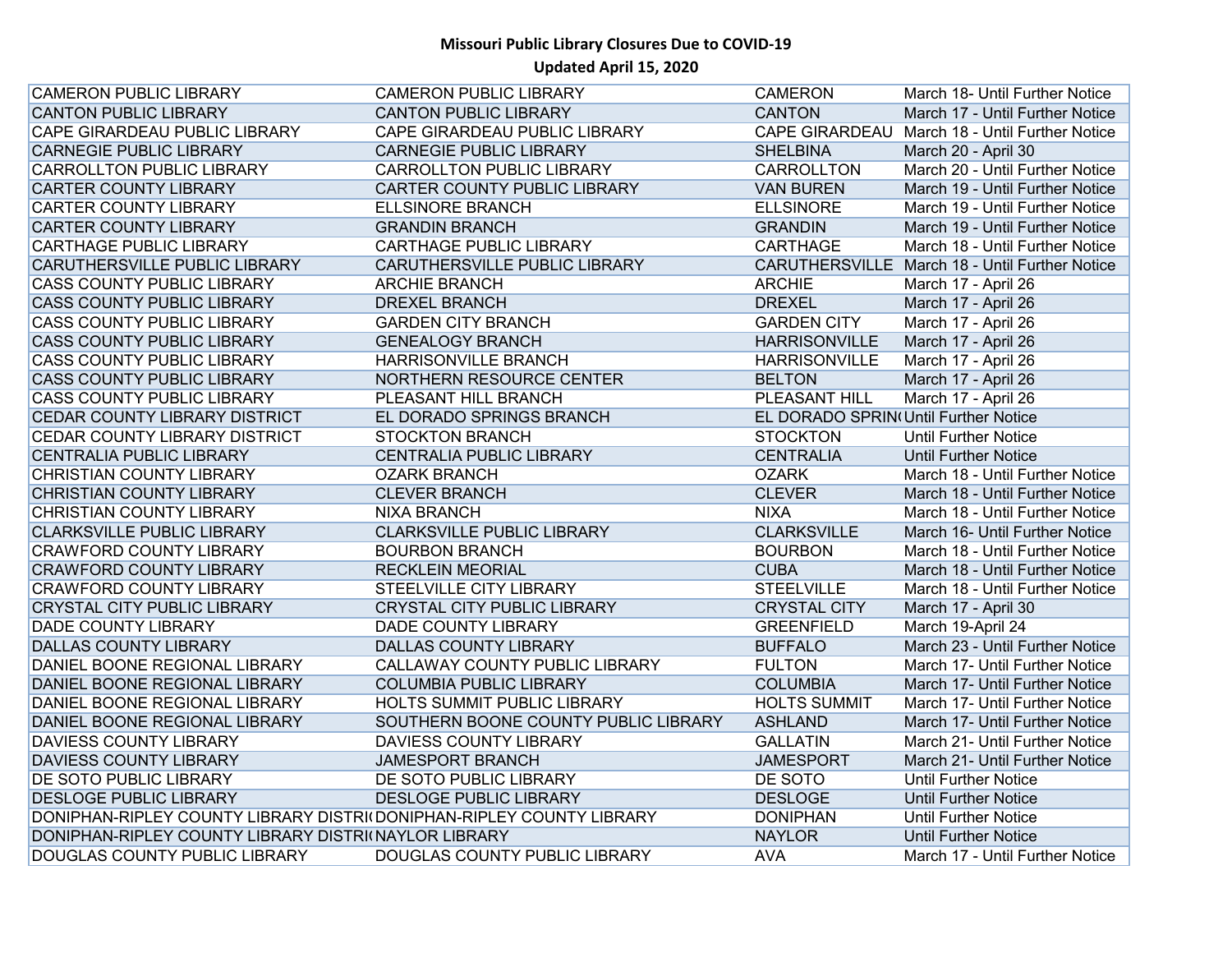| <b>CAMERON PUBLIC LIBRARY</b>                                        | <b>CAMERON PUBLIC LIBRARY</b>        | <b>CAMERON</b>                       | March 18- Until Further Notice                 |
|----------------------------------------------------------------------|--------------------------------------|--------------------------------------|------------------------------------------------|
| <b>CANTON PUBLIC LIBRARY</b>                                         | <b>CANTON PUBLIC LIBRARY</b>         | <b>CANTON</b>                        | March 17 - Until Further Notice                |
| CAPE GIRARDEAU PUBLIC LIBRARY                                        | CAPE GIRARDEAU PUBLIC LIBRARY        |                                      | CAPE GIRARDEAU March 18 - Until Further Notice |
| <b>CARNEGIE PUBLIC LIBRARY</b>                                       | <b>CARNEGIE PUBLIC LIBRARY</b>       | <b>SHELBINA</b>                      | March 20 - April 30                            |
| <b>CARROLLTON PUBLIC LIBRARY</b>                                     | <b>CARROLLTON PUBLIC LIBRARY</b>     | CARROLLTON                           | March 20 - Until Further Notice                |
| <b>CARTER COUNTY LIBRARY</b>                                         | <b>CARTER COUNTY PUBLIC LIBRARY</b>  | <b>VAN BUREN</b>                     | March 19 - Until Further Notice                |
| <b>CARTER COUNTY LIBRARY</b>                                         | <b>ELLSINORE BRANCH</b>              | <b>ELLSINORE</b>                     | March 19 - Until Further Notice                |
| <b>CARTER COUNTY LIBRARY</b>                                         | <b>GRANDIN BRANCH</b>                | <b>GRANDIN</b>                       | March 19 - Until Further Notice                |
| <b>CARTHAGE PUBLIC LIBRARY</b>                                       | <b>CARTHAGE PUBLIC LIBRARY</b>       | <b>CARTHAGE</b>                      | March 18 - Until Further Notice                |
| <b>CARUTHERSVILLE PUBLIC LIBRARY</b>                                 | CARUTHERSVILLE PUBLIC LIBRARY        |                                      | CARUTHERSVILLE March 18 - Until Further Notice |
| <b>CASS COUNTY PUBLIC LIBRARY</b>                                    | <b>ARCHIE BRANCH</b>                 | <b>ARCHIE</b>                        | March 17 - April 26                            |
| <b>CASS COUNTY PUBLIC LIBRARY</b>                                    | <b>DREXEL BRANCH</b>                 | <b>DREXEL</b>                        | March 17 - April 26                            |
| <b>CASS COUNTY PUBLIC LIBRARY</b>                                    | <b>GARDEN CITY BRANCH</b>            | <b>GARDEN CITY</b>                   | March 17 - April 26                            |
| <b>CASS COUNTY PUBLIC LIBRARY</b>                                    | <b>GENEALOGY BRANCH</b>              | <b>HARRISONVILLE</b>                 | March 17 - April 26                            |
| <b>CASS COUNTY PUBLIC LIBRARY</b>                                    | <b>HARRISONVILLE BRANCH</b>          | <b>HARRISONVILLE</b>                 | March 17 - April 26                            |
| <b>CASS COUNTY PUBLIC LIBRARY</b>                                    | NORTHERN RESOURCE CENTER             | <b>BELTON</b>                        | March 17 - April 26                            |
| <b>CASS COUNTY PUBLIC LIBRARY</b>                                    | PLEASANT HILL BRANCH                 | <b>PLEASANT HILL</b>                 | March 17 - April 26                            |
| CEDAR COUNTY LIBRARY DISTRICT                                        | EL DORADO SPRINGS BRANCH             | EL DORADO SPRIN(Until Further Notice |                                                |
| CEDAR COUNTY LIBRARY DISTRICT                                        | <b>STOCKTON BRANCH</b>               | <b>STOCKTON</b>                      | <b>Until Further Notice</b>                    |
| <b>CENTRALIA PUBLIC LIBRARY</b>                                      | <b>CENTRALIA PUBLIC LIBRARY</b>      | <b>CENTRALIA</b>                     | <b>Until Further Notice</b>                    |
| <b>CHRISTIAN COUNTY LIBRARY</b>                                      | <b>OZARK BRANCH</b>                  | <b>OZARK</b>                         | March 18 - Until Further Notice                |
| <b>CHRISTIAN COUNTY LIBRARY</b>                                      | <b>CLEVER BRANCH</b>                 | <b>CLEVER</b>                        | March 18 - Until Further Notice                |
| <b>CHRISTIAN COUNTY LIBRARY</b>                                      | <b>NIXA BRANCH</b>                   | <b>NIXA</b>                          | March 18 - Until Further Notice                |
| <b>CLARKSVILLE PUBLIC LIBRARY</b>                                    | <b>CLARKSVILLE PUBLIC LIBRARY</b>    | <b>CLARKSVILLE</b>                   | March 16- Until Further Notice                 |
| <b>CRAWFORD COUNTY LIBRARY</b>                                       | <b>BOURBON BRANCH</b>                | <b>BOURBON</b>                       | March 18 - Until Further Notice                |
| <b>CRAWFORD COUNTY LIBRARY</b>                                       | <b>RECKLEIN MEORIAL</b>              | <b>CUBA</b>                          | March 18 - Until Further Notice                |
| <b>CRAWFORD COUNTY LIBRARY</b>                                       | STEELVILLE CITY LIBRARY              | <b>STEELVILLE</b>                    | March 18 - Until Further Notice                |
| <b>CRYSTAL CITY PUBLIC LIBRARY</b>                                   | <b>CRYSTAL CITY PUBLIC LIBRARY</b>   | <b>CRYSTAL CITY</b>                  | March 17 - April 30                            |
| <b>DADE COUNTY LIBRARY</b>                                           | <b>DADE COUNTY LIBRARY</b>           | <b>GREENFIELD</b>                    | March 19-April 24                              |
| <b>DALLAS COUNTY LIBRARY</b>                                         | <b>DALLAS COUNTY LIBRARY</b>         | <b>BUFFALO</b>                       | March 23 - Until Further Notice                |
| DANIEL BOONE REGIONAL LIBRARY                                        | CALLAWAY COUNTY PUBLIC LIBRARY       | <b>FULTON</b>                        | March 17- Until Further Notice                 |
| DANIEL BOONE REGIONAL LIBRARY                                        | <b>COLUMBIA PUBLIC LIBRARY</b>       | <b>COLUMBIA</b>                      | March 17- Until Further Notice                 |
| DANIEL BOONE REGIONAL LIBRARY                                        | <b>HOLTS SUMMIT PUBLIC LIBRARY</b>   | <b>HOLTS SUMMIT</b>                  | March 17- Until Further Notice                 |
| DANIEL BOONE REGIONAL LIBRARY                                        | SOUTHERN BOONE COUNTY PUBLIC LIBRARY | <b>ASHLAND</b>                       | March 17- Until Further Notice                 |
| <b>DAVIESS COUNTY LIBRARY</b>                                        | <b>DAVIESS COUNTY LIBRARY</b>        | <b>GALLATIN</b>                      | March 21- Until Further Notice                 |
| <b>DAVIESS COUNTY LIBRARY</b>                                        | <b>JAMESPORT BRANCH</b>              | <b>JAMESPORT</b>                     | March 21- Until Further Notice                 |
| <b>DE SOTO PUBLIC LIBRARY</b>                                        | DE SOTO PUBLIC LIBRARY               | DE SOTO                              | <b>Until Further Notice</b>                    |
| <b>DESLOGE PUBLIC LIBRARY</b>                                        | DESLOGE PUBLIC LIBRARY               | <b>DESLOGE</b>                       | <b>Until Further Notice</b>                    |
| DONIPHAN-RIPLEY COUNTY LIBRARY DISTRI(DONIPHAN-RIPLEY COUNTY LIBRARY |                                      | <b>DONIPHAN</b>                      | Until Further Notice                           |
| DONIPHAN-RIPLEY COUNTY LIBRARY DISTRI(NAYLOR LIBRARY                 |                                      | <b>NAYLOR</b>                        | <b>Until Further Notice</b>                    |
| DOUGLAS COUNTY PUBLIC LIBRARY                                        | DOUGLAS COUNTY PUBLIC LIBRARY        | <b>AVA</b>                           | March 17 - Until Further Notice                |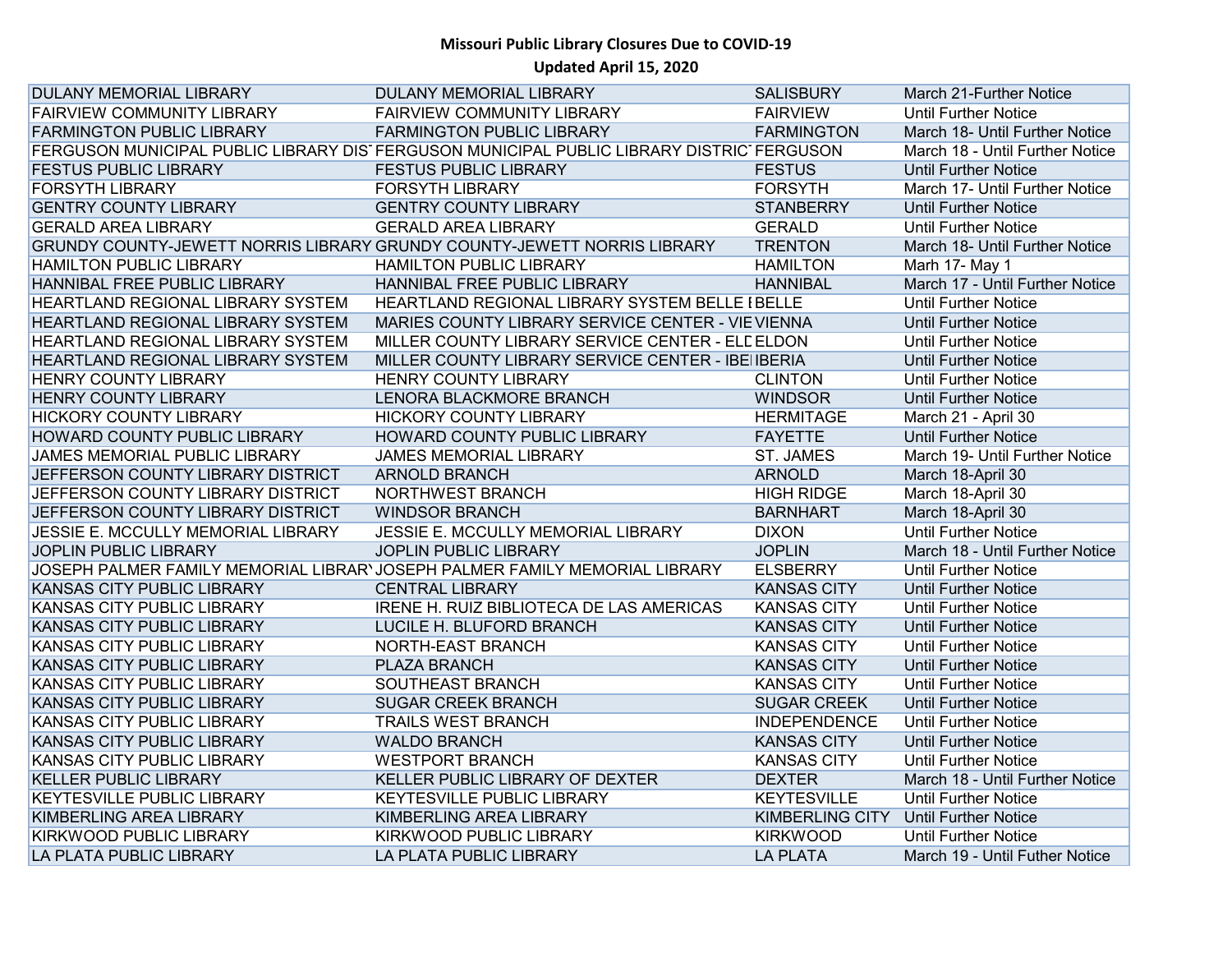| <b>DULANY MEMORIAL LIBRARY</b>     | DULANY MEMORIAL LIBRARY                                                                  | <b>SALISBURY</b>       | March 21-Further Notice         |
|------------------------------------|------------------------------------------------------------------------------------------|------------------------|---------------------------------|
| <b>FAIRVIEW COMMUNITY LIBRARY</b>  | FAIRVIEW COMMUNITY LIBRARY                                                               | <b>FAIRVIEW</b>        | <b>Until Further Notice</b>     |
| <b>FARMINGTON PUBLIC LIBRARY</b>   | <b>FARMINGTON PUBLIC LIBRARY</b>                                                         | <b>FARMINGTON</b>      | March 18- Until Further Notice  |
|                                    | FERGUSON MUNICIPAL PUBLIC LIBRARY DIS FERGUSON MUNICIPAL PUBLIC LIBRARY DISTRIC FERGUSON |                        | March 18 - Until Further Notice |
| <b>FESTUS PUBLIC LIBRARY</b>       | <b>FESTUS PUBLIC LIBRARY</b>                                                             | <b>FESTUS</b>          | <b>Until Further Notice</b>     |
| <b>FORSYTH LIBRARY</b>             | <b>FORSYTH LIBRARY</b>                                                                   | <b>FORSYTH</b>         | March 17- Until Further Notice  |
| <b>GENTRY COUNTY LIBRARY</b>       | <b>GENTRY COUNTY LIBRARY</b>                                                             | <b>STANBERRY</b>       | <b>Until Further Notice</b>     |
| <b>GERALD AREA LIBRARY</b>         | <b>GERALD AREA LIBRARY</b>                                                               | <b>GERALD</b>          | <b>Until Further Notice</b>     |
|                                    | GRUNDY COUNTY-JEWETT NORRIS LIBRARY GRUNDY COUNTY-JEWETT NORRIS LIBRARY                  | <b>TRENTON</b>         | March 18- Until Further Notice  |
| <b>HAMILTON PUBLIC LIBRARY</b>     | <b>HAMILTON PUBLIC LIBRARY</b>                                                           | <b>HAMILTON</b>        | Marh 17- May 1                  |
| HANNIBAL FREE PUBLIC LIBRARY       | HANNIBAL FREE PUBLIC LIBRARY                                                             | <b>HANNIBAL</b>        | March 17 - Until Further Notice |
| HEARTLAND REGIONAL LIBRARY SYSTEM  | HEARTLAND REGIONAL LIBRARY SYSTEM BELLE I BELLE                                          |                        | Until Further Notice            |
| HEARTLAND REGIONAL LIBRARY SYSTEM  | MARIES COUNTY LIBRARY SERVICE CENTER - VIE VIENNA                                        |                        | <b>Until Further Notice</b>     |
| HEARTLAND REGIONAL LIBRARY SYSTEM  | MILLER COUNTY LIBRARY SERVICE CENTER - ELE ELDON                                         |                        | <b>Until Further Notice</b>     |
| HEARTLAND REGIONAL LIBRARY SYSTEM  | MILLER COUNTY LIBRARY SERVICE CENTER - IBEI IBERIA                                       |                        | <b>Until Further Notice</b>     |
| <b>HENRY COUNTY LIBRARY</b>        | <b>HENRY COUNTY LIBRARY</b>                                                              | <b>CLINTON</b>         | <b>Until Further Notice</b>     |
| <b>HENRY COUNTY LIBRARY</b>        | LENORA BLACKMORE BRANCH                                                                  | <b>WINDSOR</b>         | <b>Until Further Notice</b>     |
| <b>HICKORY COUNTY LIBRARY</b>      | <b>HICKORY COUNTY LIBRARY</b>                                                            | <b>HERMITAGE</b>       | March 21 - April 30             |
| HOWARD COUNTY PUBLIC LIBRARY       | HOWARD COUNTY PUBLIC LIBRARY                                                             | <b>FAYETTE</b>         | <b>Until Further Notice</b>     |
| JAMES MEMORIAL PUBLIC LIBRARY      | <b>JAMES MEMORIAL LIBRARY</b>                                                            | <b>ST. JAMES</b>       | March 19- Until Further Notice  |
| JEFFERSON COUNTY LIBRARY DISTRICT  | <b>ARNOLD BRANCH</b>                                                                     | <b>ARNOLD</b>          | March 18-April 30               |
| JEFFERSON COUNTY LIBRARY DISTRICT  | NORTHWEST BRANCH                                                                         | <b>HIGH RIDGE</b>      | March 18-April 30               |
| JEFFERSON COUNTY LIBRARY DISTRICT  | <b>WINDSOR BRANCH</b>                                                                    | <b>BARNHART</b>        | March 18-April 30               |
| JESSIE E. MCCULLY MEMORIAL LIBRARY | JESSIE E. MCCULLY MEMORIAL LIBRARY                                                       | <b>DIXON</b>           | <b>Until Further Notice</b>     |
| <b>JOPLIN PUBLIC LIBRARY</b>       | <b>JOPLIN PUBLIC LIBRARY</b>                                                             | <b>JOPLIN</b>          | March 18 - Until Further Notice |
|                                    | JOSEPH PALMER FAMILY MEMORIAL LIBRAR' JOSEPH PALMER FAMILY MEMORIAL LIBRARY              | <b>ELSBERRY</b>        | <b>Until Further Notice</b>     |
| KANSAS CITY PUBLIC LIBRARY         | <b>CENTRAL LIBRARY</b>                                                                   | <b>KANSAS CITY</b>     | <b>Until Further Notice</b>     |
| KANSAS CITY PUBLIC LIBRARY         | IRENE H. RUIZ BIBLIOTECA DE LAS AMERICAS                                                 | <b>KANSAS CITY</b>     | <b>Until Further Notice</b>     |
| KANSAS CITY PUBLIC LIBRARY         | LUCILE H. BLUFORD BRANCH                                                                 | <b>KANSAS CITY</b>     | <b>Until Further Notice</b>     |
| KANSAS CITY PUBLIC LIBRARY         | NORTH-EAST BRANCH                                                                        | <b>KANSAS CITY</b>     | <b>Until Further Notice</b>     |
| <b>KANSAS CITY PUBLIC LIBRARY</b>  | <b>PLAZA BRANCH</b>                                                                      | <b>KANSAS CITY</b>     | <b>Until Further Notice</b>     |
| KANSAS CITY PUBLIC LIBRARY         | SOUTHEAST BRANCH                                                                         | <b>KANSAS CITY</b>     | Until Further Notice            |
| KANSAS CITY PUBLIC LIBRARY         | <b>SUGAR CREEK BRANCH</b>                                                                | <b>SUGAR CREEK</b>     | <b>Until Further Notice</b>     |
| KANSAS CITY PUBLIC LIBRARY         | <b>TRAILS WEST BRANCH</b>                                                                | <b>INDEPENDENCE</b>    | <b>Until Further Notice</b>     |
| KANSAS CITY PUBLIC LIBRARY         | <b>WALDO BRANCH</b>                                                                      | <b>KANSAS CITY</b>     | <b>Until Further Notice</b>     |
| KANSAS CITY PUBLIC LIBRARY         | <b>WESTPORT BRANCH</b>                                                                   | <b>KANSAS CITY</b>     | <b>Until Further Notice</b>     |
| <b>KELLER PUBLIC LIBRARY</b>       | KELLER PUBLIC LIBRARY OF DEXTER                                                          | <b>DEXTER</b>          | March 18 - Until Further Notice |
| <b>KEYTESVILLE PUBLIC LIBRARY</b>  | KEYTESVILLE PUBLIC LIBRARY                                                               | <b>KEYTESVILLE</b>     | <b>Until Further Notice</b>     |
| KIMBERLING AREA LIBRARY            | KIMBERLING AREA LIBRARY                                                                  | <b>KIMBERLING CITY</b> | <b>Until Further Notice</b>     |
| KIRKWOOD PUBLIC LIBRARY            | KIRKWOOD PUBLIC LIBRARY                                                                  | <b>KIRKWOOD</b>        | <b>Until Further Notice</b>     |
| LA PLATA PUBLIC LIBRARY            | LA PLATA PUBLIC LIBRARY                                                                  | <b>LA PLATA</b>        | March 19 - Until Futher Notice  |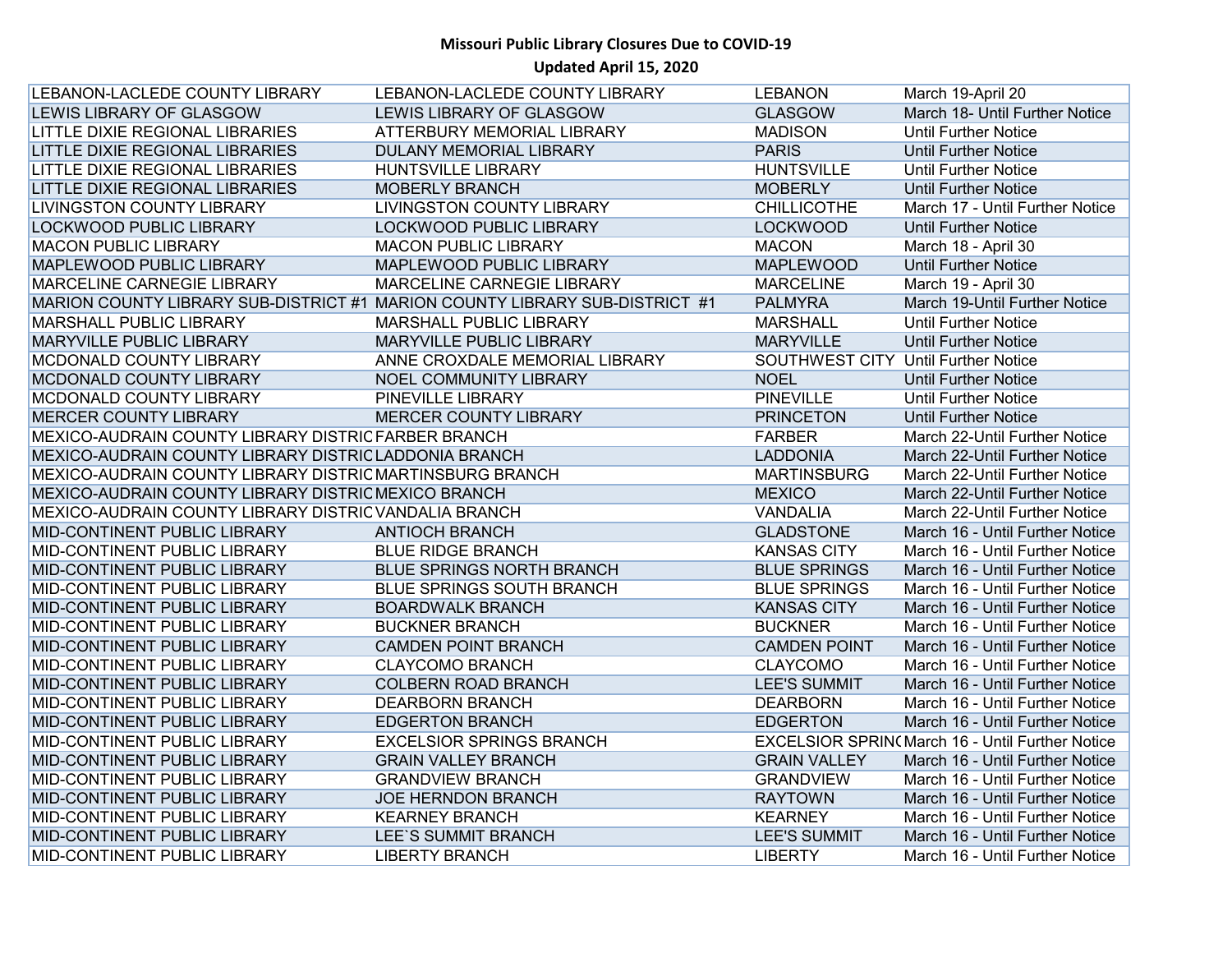| LEBANON-LACLEDE COUNTY LIBRARY                           | LEBANON-LACLEDE COUNTY LIBRARY                                              | <b>LEBANON</b>                      | March 19-April 20                                      |
|----------------------------------------------------------|-----------------------------------------------------------------------------|-------------------------------------|--------------------------------------------------------|
| LEWIS LIBRARY OF GLASGOW                                 | LEWIS LIBRARY OF GLASGOW                                                    | <b>GLASGOW</b>                      | March 18- Until Further Notice                         |
| LITTLE DIXIE REGIONAL LIBRARIES                          | ATTERBURY MEMORIAL LIBRARY                                                  | <b>MADISON</b>                      | <b>Until Further Notice</b>                            |
| LITTLE DIXIE REGIONAL LIBRARIES                          | DULANY MEMORIAL LIBRARY                                                     | <b>PARIS</b>                        | <b>Until Further Notice</b>                            |
| LITTLE DIXIE REGIONAL LIBRARIES                          | <b>HUNTSVILLE LIBRARY</b>                                                   | <b>HUNTSVILLE</b>                   | <b>Until Further Notice</b>                            |
| LITTLE DIXIE REGIONAL LIBRARIES                          | <b>MOBERLY BRANCH</b>                                                       | <b>MOBERLY</b>                      | <b>Until Further Notice</b>                            |
| <b>LIVINGSTON COUNTY LIBRARY</b>                         | <b>LIVINGSTON COUNTY LIBRARY</b>                                            | <b>CHILLICOTHE</b>                  | March 17 - Until Further Notice                        |
| LOCKWOOD PUBLIC LIBRARY                                  | LOCKWOOD PUBLIC LIBRARY                                                     | <b>LOCKWOOD</b>                     | <b>Until Further Notice</b>                            |
| <b>MACON PUBLIC LIBRARY</b>                              | <b>MACON PUBLIC LIBRARY</b>                                                 | <b>MACON</b>                        | March 18 - April 30                                    |
| MAPLEWOOD PUBLIC LIBRARY                                 | MAPLEWOOD PUBLIC LIBRARY                                                    | <b>MAPLEWOOD</b>                    | <b>Until Further Notice</b>                            |
| MARCELINE CARNEGIE LIBRARY                               | MARCELINE CARNEGIE LIBRARY                                                  | <b>MARCELINE</b>                    | March 19 - April 30                                    |
|                                                          | MARION COUNTY LIBRARY SUB-DISTRICT #1 MARION COUNTY LIBRARY SUB-DISTRICT #1 | <b>PALMYRA</b>                      | March 19-Until Further Notice                          |
| MARSHALL PUBLIC LIBRARY                                  | MARSHALL PUBLIC LIBRARY                                                     | <b>MARSHALL</b>                     | <b>Until Further Notice</b>                            |
| <b>MARYVILLE PUBLIC LIBRARY</b>                          | MARYVILLE PUBLIC LIBRARY                                                    | <b>MARYVILLE</b>                    | <b>Until Further Notice</b>                            |
| MCDONALD COUNTY LIBRARY                                  | ANNE CROXDALE MEMORIAL LIBRARY                                              | SOUTHWEST CITY Until Further Notice |                                                        |
| MCDONALD COUNTY LIBRARY                                  | NOEL COMMUNITY LIBRARY                                                      | <b>NOEL</b>                         | <b>Until Further Notice</b>                            |
| MCDONALD COUNTY LIBRARY                                  | PINEVILLE LIBRARY                                                           | <b>PINEVILLE</b>                    | <b>Until Further Notice</b>                            |
| <b>MERCER COUNTY LIBRARY</b>                             | <b>MERCER COUNTY LIBRARY</b>                                                | <b>PRINCETON</b>                    | <b>Until Further Notice</b>                            |
| MEXICO-AUDRAIN COUNTY LIBRARY DISTRIC FARBER BRANCH      |                                                                             | <b>FARBER</b>                       | March 22-Until Further Notice                          |
| MEXICO-AUDRAIN COUNTY LIBRARY DISTRIC LADDONIA BRANCH    |                                                                             | <b>LADDONIA</b>                     | March 22-Until Further Notice                          |
| MEXICO-AUDRAIN COUNTY LIBRARY DISTRIC MARTINSBURG BRANCH |                                                                             | <b>MARTINSBURG</b>                  | March 22-Until Further Notice                          |
| MEXICO-AUDRAIN COUNTY LIBRARY DISTRIC MEXICO BRANCH      |                                                                             | <b>MEXICO</b>                       | March 22-Until Further Notice                          |
| MEXICO-AUDRAIN COUNTY LIBRARY DISTRIC VANDALIA BRANCH    |                                                                             | <b>VANDALIA</b>                     | March 22-Until Further Notice                          |
| MID-CONTINENT PUBLIC LIBRARY                             | <b>ANTIOCH BRANCH</b>                                                       | <b>GLADSTONE</b>                    | March 16 - Until Further Notice                        |
| MID-CONTINENT PUBLIC LIBRARY                             | <b>BLUE RIDGE BRANCH</b>                                                    | <b>KANSAS CITY</b>                  | March 16 - Until Further Notice                        |
| MID-CONTINENT PUBLIC LIBRARY                             | <b>BLUE SPRINGS NORTH BRANCH</b>                                            | <b>BLUE SPRINGS</b>                 | March 16 - Until Further Notice                        |
| MID-CONTINENT PUBLIC LIBRARY                             | <b>BLUE SPRINGS SOUTH BRANCH</b>                                            | <b>BLUE SPRINGS</b>                 | March 16 - Until Further Notice                        |
| MID-CONTINENT PUBLIC LIBRARY                             | <b>BOARDWALK BRANCH</b>                                                     | <b>KANSAS CITY</b>                  | March 16 - Until Further Notice                        |
| MID-CONTINENT PUBLIC LIBRARY                             | <b>BUCKNER BRANCH</b>                                                       | <b>BUCKNER</b>                      | March 16 - Until Further Notice                        |
| MID-CONTINENT PUBLIC LIBRARY                             | <b>CAMDEN POINT BRANCH</b>                                                  | <b>CAMDEN POINT</b>                 | March 16 - Until Further Notice                        |
| MID-CONTINENT PUBLIC LIBRARY                             | <b>CLAYCOMO BRANCH</b>                                                      | <b>CLAYCOMO</b>                     | March 16 - Until Further Notice                        |
| MID-CONTINENT PUBLIC LIBRARY                             | <b>COLBERN ROAD BRANCH</b>                                                  | <b>LEE'S SUMMIT</b>                 | March 16 - Until Further Notice                        |
| MID-CONTINENT PUBLIC LIBRARY                             | <b>DEARBORN BRANCH</b>                                                      | <b>DEARBORN</b>                     | March 16 - Until Further Notice                        |
| MID-CONTINENT PUBLIC LIBRARY                             | <b>EDGERTON BRANCH</b>                                                      | <b>EDGERTON</b>                     | March 16 - Until Further Notice                        |
| MID-CONTINENT PUBLIC LIBRARY                             | <b>EXCELSIOR SPRINGS BRANCH</b>                                             |                                     | <b>EXCELSIOR SPRIN(March 16 - Until Further Notice</b> |
| MID-CONTINENT PUBLIC LIBRARY                             | <b>GRAIN VALLEY BRANCH</b>                                                  | <b>GRAIN VALLEY</b>                 | March 16 - Until Further Notice                        |
| MID-CONTINENT PUBLIC LIBRARY                             | <b>GRANDVIEW BRANCH</b>                                                     | <b>GRANDVIEW</b>                    | March 16 - Until Further Notice                        |
| MID-CONTINENT PUBLIC LIBRARY                             | <b>JOE HERNDON BRANCH</b>                                                   | <b>RAYTOWN</b>                      | March 16 - Until Further Notice                        |
| MID-CONTINENT PUBLIC LIBRARY                             | <b>KEARNEY BRANCH</b>                                                       | <b>KEARNEY</b>                      | March 16 - Until Further Notice                        |
| MID-CONTINENT PUBLIC LIBRARY                             | LEE'S SUMMIT BRANCH                                                         | <b>LEE'S SUMMIT</b>                 | March 16 - Until Further Notice                        |
| MID-CONTINENT PUBLIC LIBRARY                             | <b>LIBERTY BRANCH</b>                                                       | <b>LIBERTY</b>                      | March 16 - Until Further Notice                        |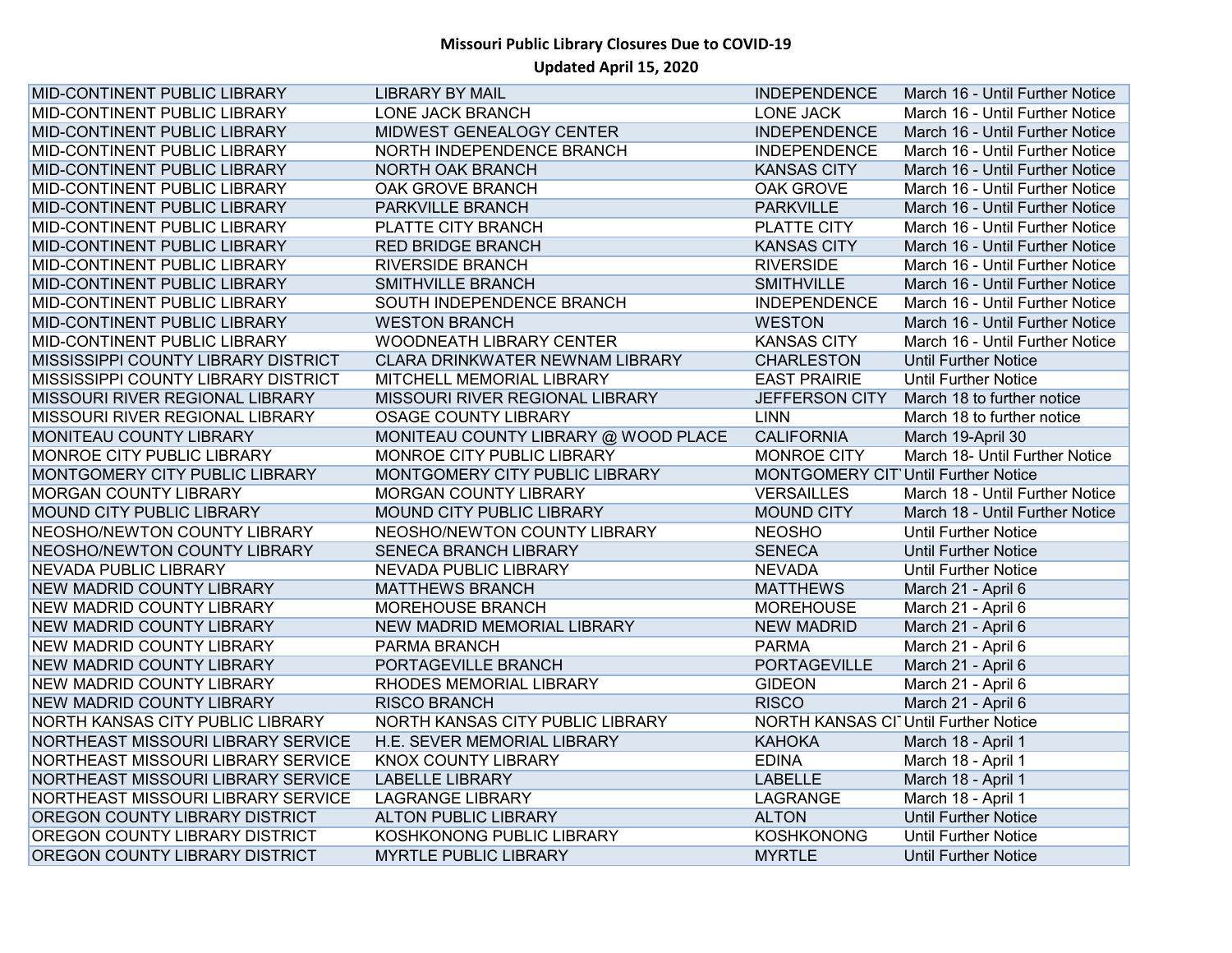| MID-CONTINENT PUBLIC LIBRARY        | <b>LIBRARY BY MAIL</b>               | <b>INDEPENDENCE</b>                  | March 16 - Until Further Notice |
|-------------------------------------|--------------------------------------|--------------------------------------|---------------------------------|
| MID-CONTINENT PUBLIC LIBRARY        | LONE JACK BRANCH                     | <b>LONE JACK</b>                     | March 16 - Until Further Notice |
| MID-CONTINENT PUBLIC LIBRARY        | MIDWEST GENEALOGY CENTER             | <b>INDEPENDENCE</b>                  | March 16 - Until Further Notice |
| MID-CONTINENT PUBLIC LIBRARY        | NORTH INDEPENDENCE BRANCH            | <b>INDEPENDENCE</b>                  | March 16 - Until Further Notice |
| MID-CONTINENT PUBLIC LIBRARY        | NORTH OAK BRANCH                     | <b>KANSAS CITY</b>                   | March 16 - Until Further Notice |
| MID-CONTINENT PUBLIC LIBRARY        | OAK GROVE BRANCH                     | OAK GROVE                            | March 16 - Until Further Notice |
| MID-CONTINENT PUBLIC LIBRARY        | PARKVILLE BRANCH                     | <b>PARKVILLE</b>                     | March 16 - Until Further Notice |
| MID-CONTINENT PUBLIC LIBRARY        | PLATTE CITY BRANCH                   | PLATTE CITY                          | March 16 - Until Further Notice |
| MID-CONTINENT PUBLIC LIBRARY        | <b>RED BRIDGE BRANCH</b>             | <b>KANSAS CITY</b>                   | March 16 - Until Further Notice |
| MID-CONTINENT PUBLIC LIBRARY        | <b>RIVERSIDE BRANCH</b>              | <b>RIVERSIDE</b>                     | March 16 - Until Further Notice |
| MID-CONTINENT PUBLIC LIBRARY        | <b>SMITHVILLE BRANCH</b>             | <b>SMITHVILLE</b>                    | March 16 - Until Further Notice |
| MID-CONTINENT PUBLIC LIBRARY        | SOUTH INDEPENDENCE BRANCH            | <b>INDEPENDENCE</b>                  | March 16 - Until Further Notice |
| MID-CONTINENT PUBLIC LIBRARY        | <b>WESTON BRANCH</b>                 | <b>WESTON</b>                        | March 16 - Until Further Notice |
| MID-CONTINENT PUBLIC LIBRARY        | <b>WOODNEATH LIBRARY CENTER</b>      | <b>KANSAS CITY</b>                   | March 16 - Until Further Notice |
| MISSISSIPPI COUNTY LIBRARY DISTRICT | CLARA DRINKWATER NEWNAM LIBRARY      | <b>CHARLESTON</b>                    | <b>Until Further Notice</b>     |
| MISSISSIPPI COUNTY LIBRARY DISTRICT | MITCHELL MEMORIAL LIBRARY            | <b>EAST PRAIRIE</b>                  | <b>Until Further Notice</b>     |
| MISSOURI RIVER REGIONAL LIBRARY     | MISSOURI RIVER REGIONAL LIBRARY      | <b>JEFFERSON CITY</b>                | March 18 to further notice      |
| MISSOURI RIVER REGIONAL LIBRARY     | <b>OSAGE COUNTY LIBRARY</b>          | <b>LINN</b>                          | March 18 to further notice      |
| MONITEAU COUNTY LIBRARY             | MONITEAU COUNTY LIBRARY @ WOOD PLACE | <b>CALIFORNIA</b>                    | March 19-April 30               |
| MONROE CITY PUBLIC LIBRARY          | MONROE CITY PUBLIC LIBRARY           | MONROE CITY                          | March 18- Until Further Notice  |
| MONTGOMERY CITY PUBLIC LIBRARY      | MONTGOMERY CITY PUBLIC LIBRARY       | MONTGOMERY CIT' Until Further Notice |                                 |
| <b>MORGAN COUNTY LIBRARY</b>        | <b>MORGAN COUNTY LIBRARY</b>         | <b>VERSAILLES</b>                    | March 18 - Until Further Notice |
| MOUND CITY PUBLIC LIBRARY           | MOUND CITY PUBLIC LIBRARY            | <b>MOUND CITY</b>                    | March 18 - Until Further Notice |
| NEOSHO/NEWTON COUNTY LIBRARY        | NEOSHO/NEWTON COUNTY LIBRARY         | <b>NEOSHO</b>                        | <b>Until Further Notice</b>     |
| NEOSHO/NEWTON COUNTY LIBRARY        | SENECA BRANCH LIBRARY                | <b>SENECA</b>                        | <b>Until Further Notice</b>     |
| <b>NEVADA PUBLIC LIBRARY</b>        | <b>NEVADA PUBLIC LIBRARY</b>         | <b>NEVADA</b>                        | <b>Until Further Notice</b>     |
| <b>NEW MADRID COUNTY LIBRARY</b>    | <b>MATTHEWS BRANCH</b>               | <b>MATTHEWS</b>                      | March 21 - April 6              |
| <b>NEW MADRID COUNTY LIBRARY</b>    | MOREHOUSE BRANCH                     | <b>MOREHOUSE</b>                     | March 21 - April 6              |
| <b>NEW MADRID COUNTY LIBRARY</b>    | NEW MADRID MEMORIAL LIBRARY          | <b>NEW MADRID</b>                    | March 21 - April 6              |
| <b>NEW MADRID COUNTY LIBRARY</b>    | PARMA BRANCH                         | <b>PARMA</b>                         | March 21 - April 6              |
| <b>NEW MADRID COUNTY LIBRARY</b>    | PORTAGEVILLE BRANCH                  | <b>PORTAGEVILLE</b>                  | March 21 - April 6              |
| <b>NEW MADRID COUNTY LIBRARY</b>    | RHODES MEMORIAL LIBRARY              | <b>GIDEON</b>                        | March 21 - April 6              |
| <b>NEW MADRID COUNTY LIBRARY</b>    | <b>RISCO BRANCH</b>                  | <b>RISCO</b>                         | March 21 - April 6              |
| NORTH KANSAS CITY PUBLIC LIBRARY    | NORTH KANSAS CITY PUBLIC LIBRARY     | NORTH KANSAS CI Until Further Notice |                                 |
| NORTHEAST MISSOURI LIBRARY SERVICE  | H.E. SEVER MEMORIAL LIBRARY          | <b>KAHOKA</b>                        | March 18 - April 1              |
| NORTHEAST MISSOURI LIBRARY SERVICE  | <b>KNOX COUNTY LIBRARY</b>           | <b>EDINA</b>                         | March 18 - April 1              |
| NORTHEAST MISSOURI LIBRARY SERVICE  | <b>LABELLE LIBRARY</b>               | <b>LABELLE</b>                       | March 18 - April 1              |
| NORTHEAST MISSOURI LIBRARY SERVICE  | <b>LAGRANGE LIBRARY</b>              | LAGRANGE                             | March 18 - April 1              |
| OREGON COUNTY LIBRARY DISTRICT      | <b>ALTON PUBLIC LIBRARY</b>          | <b>ALTON</b>                         | <b>Until Further Notice</b>     |
| OREGON COUNTY LIBRARY DISTRICT      | KOSHKONONG PUBLIC LIBRARY            | <b>KOSHKONONG</b>                    | <b>Until Further Notice</b>     |
| OREGON COUNTY LIBRARY DISTRICT      | <b>MYRTLE PUBLIC LIBRARY</b>         | <b>MYRTLE</b>                        | <b>Until Further Notice</b>     |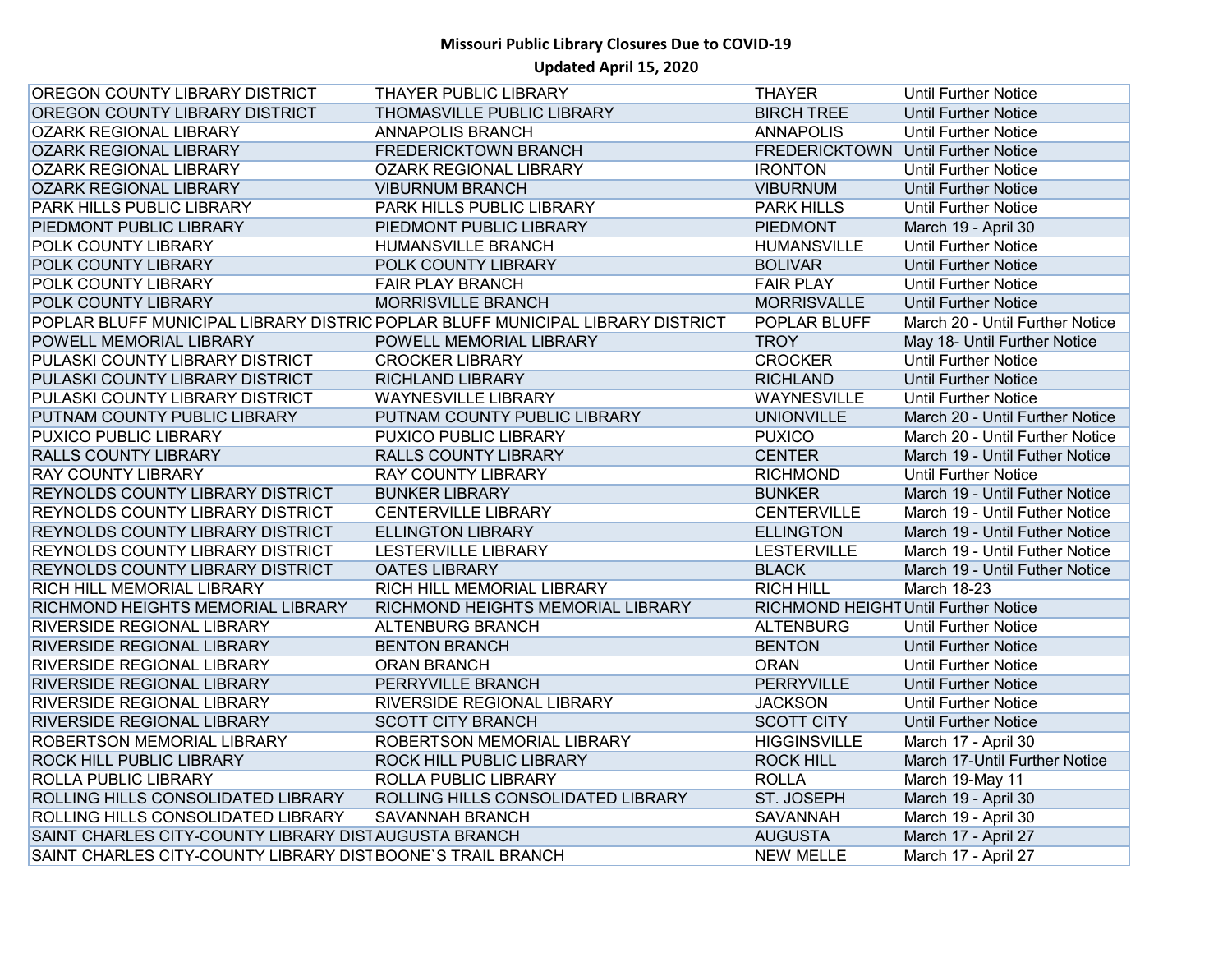| OREGON COUNTY LIBRARY DISTRICT                              | <b>THAYER PUBLIC LIBRARY</b>                                                   | <b>THAYER</b>                        | <b>Until Further Notice</b>     |
|-------------------------------------------------------------|--------------------------------------------------------------------------------|--------------------------------------|---------------------------------|
| OREGON COUNTY LIBRARY DISTRICT                              | THOMASVILLE PUBLIC LIBRARY                                                     | <b>BIRCH TREE</b>                    | <b>Until Further Notice</b>     |
| <b>OZARK REGIONAL LIBRARY</b>                               | <b>ANNAPOLIS BRANCH</b>                                                        | <b>ANNAPOLIS</b>                     | <b>Until Further Notice</b>     |
| <b>OZARK REGIONAL LIBRARY</b>                               | <b>FREDERICKTOWN BRANCH</b>                                                    | FREDERICKTOWN Until Further Notice   |                                 |
| <b>OZARK REGIONAL LIBRARY</b>                               | <b>OZARK REGIONAL LIBRARY</b>                                                  | <b>IRONTON</b>                       | <b>Until Further Notice</b>     |
| <b>OZARK REGIONAL LIBRARY</b>                               | <b>VIBURNUM BRANCH</b>                                                         | <b>VIBURNUM</b>                      | <b>Until Further Notice</b>     |
| <b>PARK HILLS PUBLIC LIBRARY</b>                            | PARK HILLS PUBLIC LIBRARY                                                      | <b>PARK HILLS</b>                    | <b>Until Further Notice</b>     |
| PIEDMONT PUBLIC LIBRARY                                     | PIEDMONT PUBLIC LIBRARY                                                        | <b>PIEDMONT</b>                      | March 19 - April 30             |
| <b>POLK COUNTY LIBRARY</b>                                  | <b>HUMANSVILLE BRANCH</b>                                                      | <b>HUMANSVILLE</b>                   | <b>Until Further Notice</b>     |
| POLK COUNTY LIBRARY                                         | POLK COUNTY LIBRARY                                                            | <b>BOLIVAR</b>                       | <b>Until Further Notice</b>     |
| POLK COUNTY LIBRARY                                         | <b>FAIR PLAY BRANCH</b>                                                        | <b>FAIR PLAY</b>                     | <b>Until Further Notice</b>     |
| POLK COUNTY LIBRARY                                         | <b>MORRISVILLE BRANCH</b>                                                      | <b>MORRISVALLE</b>                   | <b>Until Further Notice</b>     |
|                                                             | POPLAR BLUFF MUNICIPAL LIBRARY DISTRIC POPLAR BLUFF MUNICIPAL LIBRARY DISTRICT | POPLAR BLUFF                         | March 20 - Until Further Notice |
| POWELL MEMORIAL LIBRARY                                     | POWELL MEMORIAL LIBRARY                                                        | <b>TROY</b>                          | May 18- Until Further Notice    |
| PULASKI COUNTY LIBRARY DISTRICT                             | <b>CROCKER LIBRARY</b>                                                         | <b>CROCKER</b>                       | <b>Until Further Notice</b>     |
| PULASKI COUNTY LIBRARY DISTRICT                             | <b>RICHLAND LIBRARY</b>                                                        | <b>RICHLAND</b>                      | <b>Until Further Notice</b>     |
| PULASKI COUNTY LIBRARY DISTRICT                             | <b>WAYNESVILLE LIBRARY</b>                                                     | <b>WAYNESVILLE</b>                   | <b>Until Further Notice</b>     |
| PUTNAM COUNTY PUBLIC LIBRARY                                | PUTNAM COUNTY PUBLIC LIBRARY                                                   | <b>UNIONVILLE</b>                    | March 20 - Until Further Notice |
| <b>PUXICO PUBLIC LIBRARY</b>                                | PUXICO PUBLIC LIBRARY                                                          | <b>PUXICO</b>                        | March 20 - Until Further Notice |
| <b>RALLS COUNTY LIBRARY</b>                                 | RALLS COUNTY LIBRARY                                                           | <b>CENTER</b>                        | March 19 - Until Futher Notice  |
| <b>RAY COUNTY LIBRARY</b>                                   | <b>RAY COUNTY LIBRARY</b>                                                      | <b>RICHMOND</b>                      | Until Further Notice            |
| REYNOLDS COUNTY LIBRARY DISTRICT                            | <b>BUNKER LIBRARY</b>                                                          | <b>BUNKER</b>                        | March 19 - Until Futher Notice  |
| REYNOLDS COUNTY LIBRARY DISTRICT                            | <b>CENTERVILLE LIBRARY</b>                                                     | <b>CENTERVILLE</b>                   | March 19 - Until Futher Notice  |
| <b>REYNOLDS COUNTY LIBRARY DISTRICT</b>                     | <b>ELLINGTON LIBRARY</b>                                                       | <b>ELLINGTON</b>                     | March 19 - Until Futher Notice  |
| <b>REYNOLDS COUNTY LIBRARY DISTRICT</b>                     | <b>LESTERVILLE LIBRARY</b>                                                     | <b>LESTERVILLE</b>                   | March 19 - Until Futher Notice  |
| <b>REYNOLDS COUNTY LIBRARY DISTRICT</b>                     | <b>OATES LIBRARY</b>                                                           | <b>BLACK</b>                         | March 19 - Until Futher Notice  |
| RICH HILL MEMORIAL LIBRARY                                  | RICH HILL MEMORIAL LIBRARY                                                     | <b>RICH HILL</b>                     | <b>March 18-23</b>              |
| RICHMOND HEIGHTS MEMORIAL LIBRARY                           | RICHMOND HEIGHTS MEMORIAL LIBRARY                                              | RICHMOND HEIGHT Until Further Notice |                                 |
| <b>RIVERSIDE REGIONAL LIBRARY</b>                           | <b>ALTENBURG BRANCH</b>                                                        | <b>ALTENBURG</b>                     | Until Further Notice            |
| <b>RIVERSIDE REGIONAL LIBRARY</b>                           | <b>BENTON BRANCH</b>                                                           | <b>BENTON</b>                        | <b>Until Further Notice</b>     |
| <b>RIVERSIDE REGIONAL LIBRARY</b>                           | <b>ORAN BRANCH</b>                                                             | <b>ORAN</b>                          | <b>Until Further Notice</b>     |
| <b>RIVERSIDE REGIONAL LIBRARY</b>                           | PERRYVILLE BRANCH                                                              | <b>PERRYVILLE</b>                    | <b>Until Further Notice</b>     |
| <b>RIVERSIDE REGIONAL LIBRARY</b>                           | RIVERSIDE REGIONAL LIBRARY                                                     | <b>JACKSON</b>                       | Until Further Notice            |
| <b>RIVERSIDE REGIONAL LIBRARY</b>                           | <b>SCOTT CITY BRANCH</b>                                                       | <b>SCOTT CITY</b>                    | <b>Until Further Notice</b>     |
| <b>ROBERTSON MEMORIAL LIBRARY</b>                           | ROBERTSON MEMORIAL LIBRARY                                                     | <b>HIGGINSVILLE</b>                  | March 17 - April 30             |
| <b>ROCK HILL PUBLIC LIBRARY</b>                             | ROCK HILL PUBLIC LIBRARY                                                       | <b>ROCK HILL</b>                     | March 17-Until Further Notice   |
| <b>ROLLA PUBLIC LIBRARY</b>                                 | ROLLA PUBLIC LIBRARY                                                           | <b>ROLLA</b>                         | March 19-May 11                 |
| ROLLING HILLS CONSOLIDATED LIBRARY                          | ROLLING HILLS CONSOLIDATED LIBRARY                                             | ST. JOSEPH                           | March 19 - April 30             |
| ROLLING HILLS CONSOLIDATED LIBRARY                          | <b>SAVANNAH BRANCH</b>                                                         | <b>SAVANNAH</b>                      | March 19 - April 30             |
| SAINT CHARLES CITY-COUNTY LIBRARY DISTAUGUSTA BRANCH        |                                                                                | <b>AUGUSTA</b>                       | March 17 - April 27             |
| SAINT CHARLES CITY-COUNTY LIBRARY DIST BOONE'S TRAIL BRANCH |                                                                                | <b>NEW MELLE</b>                     | March 17 - April 27             |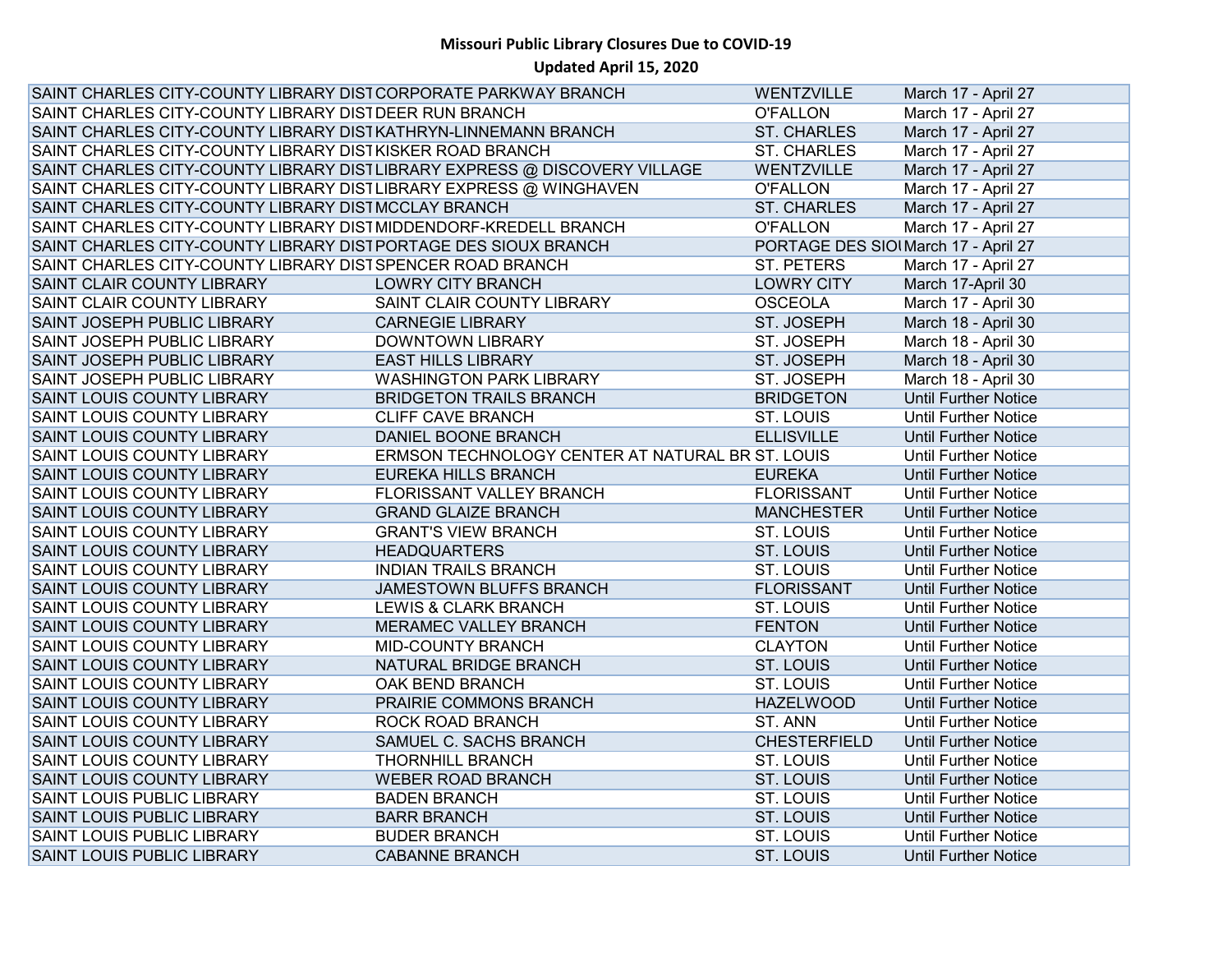| SAINT CHARLES CITY-COUNTY LIBRARY DIST CORPORATE PARKWAY BRANCH           |                                                  | WENTZVILLE                           | March 17 - April 27         |
|---------------------------------------------------------------------------|--------------------------------------------------|--------------------------------------|-----------------------------|
| SAINT CHARLES CITY-COUNTY LIBRARY DIST DEER RUN BRANCH                    |                                                  | <b>O'FALLON</b>                      | March 17 - April 27         |
| SAINT CHARLES CITY-COUNTY LIBRARY DISTKATHRYN-LINNEMANN BRANCH            |                                                  | <b>ST. CHARLES</b>                   | March 17 - April 27         |
| SAINT CHARLES CITY-COUNTY LIBRARY DISTKISKER ROAD BRANCH                  |                                                  | <b>ST. CHARLES</b>                   | March 17 - April 27         |
| SAINT CHARLES CITY-COUNTY LIBRARY DISTLIBRARY EXPRESS @ DISCOVERY VILLAGE |                                                  | WENTZVILLE                           | March 17 - April 27         |
| SAINT CHARLES CITY-COUNTY LIBRARY DISTLIBRARY EXPRESS @ WINGHAVEN         |                                                  | <b>O'FALLON</b>                      | March 17 - April 27         |
| SAINT CHARLES CITY-COUNTY LIBRARY DISTMCCLAY BRANCH                       |                                                  | <b>ST. CHARLES</b>                   | March 17 - April 27         |
| SAINT CHARLES CITY-COUNTY LIBRARY DIST MIDDENDORF-KREDELL BRANCH          |                                                  | <b>O'FALLON</b>                      | March 17 - April 27         |
| SAINT CHARLES CITY-COUNTY LIBRARY DISTPORTAGE DES SIOUX BRANCH            |                                                  | PORTAGE DES SIOI March 17 - April 27 |                             |
| SAINT CHARLES CITY-COUNTY LIBRARY DIST SPENCER ROAD BRANCH                |                                                  | ST. PETERS                           | March 17 - April 27         |
| SAINT CLAIR COUNTY LIBRARY                                                | <b>LOWRY CITY BRANCH</b>                         | <b>LOWRY CITY</b>                    | March 17-April 30           |
| SAINT CLAIR COUNTY LIBRARY                                                | SAINT CLAIR COUNTY LIBRARY                       | <b>OSCEOLA</b>                       | March 17 - April 30         |
| SAINT JOSEPH PUBLIC LIBRARY                                               | <b>CARNEGIE LIBRARY</b>                          | ST. JOSEPH                           | March 18 - April 30         |
| SAINT JOSEPH PUBLIC LIBRARY                                               | <b>DOWNTOWN LIBRARY</b>                          | ST. JOSEPH                           | March 18 - April 30         |
| <b>SAINT JOSEPH PUBLIC LIBRARY</b>                                        | <b>EAST HILLS LIBRARY</b>                        | ST. JOSEPH                           | March 18 - April 30         |
| SAINT JOSEPH PUBLIC LIBRARY                                               | <b>WASHINGTON PARK LIBRARY</b>                   | ST. JOSEPH                           | March 18 - April 30         |
| <b>SAINT LOUIS COUNTY LIBRARY</b>                                         | <b>BRIDGETON TRAILS BRANCH</b>                   | <b>BRIDGETON</b>                     | <b>Until Further Notice</b> |
| SAINT LOUIS COUNTY LIBRARY                                                | <b>CLIFF CAVE BRANCH</b>                         | ST. LOUIS                            | <b>Until Further Notice</b> |
| <b>SAINT LOUIS COUNTY LIBRARY</b>                                         | DANIEL BOONE BRANCH                              | <b>ELLISVILLE</b>                    | <b>Until Further Notice</b> |
| <b>SAINT LOUIS COUNTY LIBRARY</b>                                         | ERMSON TECHNOLOGY CENTER AT NATURAL BR ST. LOUIS |                                      | <b>Until Further Notice</b> |
| <b>SAINT LOUIS COUNTY LIBRARY</b>                                         | EUREKA HILLS BRANCH                              | <b>EUREKA</b>                        | <b>Until Further Notice</b> |
| <b>SAINT LOUIS COUNTY LIBRARY</b>                                         | FLORISSANT VALLEY BRANCH                         | <b>FLORISSANT</b>                    | <b>Until Further Notice</b> |
| <b>SAINT LOUIS COUNTY LIBRARY</b>                                         | <b>GRAND GLAIZE BRANCH</b>                       | <b>MANCHESTER</b>                    | <b>Until Further Notice</b> |
| SAINT LOUIS COUNTY LIBRARY                                                | <b>GRANT'S VIEW BRANCH</b>                       | ST. LOUIS                            | <b>Until Further Notice</b> |
| <b>SAINT LOUIS COUNTY LIBRARY</b>                                         | <b>HEADQUARTERS</b>                              | ST. LOUIS                            | <b>Until Further Notice</b> |
| SAINT LOUIS COUNTY LIBRARY                                                | <b>INDIAN TRAILS BRANCH</b>                      | <b>ST. LOUIS</b>                     | <b>Until Further Notice</b> |
| <b>SAINT LOUIS COUNTY LIBRARY</b>                                         | JAMESTOWN BLUFFS BRANCH                          | <b>FLORISSANT</b>                    | <b>Until Further Notice</b> |
| <b>SAINT LOUIS COUNTY LIBRARY</b>                                         | <b>LEWIS &amp; CLARK BRANCH</b>                  | ST. LOUIS                            | <b>Until Further Notice</b> |
| SAINT LOUIS COUNTY LIBRARY                                                | <b>MERAMEC VALLEY BRANCH</b>                     | <b>FENTON</b>                        | <b>Until Further Notice</b> |
| SAINT LOUIS COUNTY LIBRARY                                                | MID-COUNTY BRANCH                                | <b>CLAYTON</b>                       | <b>Until Further Notice</b> |
| <b>SAINT LOUIS COUNTY LIBRARY</b>                                         | NATURAL BRIDGE BRANCH                            | <b>ST. LOUIS</b>                     | <b>Until Further Notice</b> |
| SAINT LOUIS COUNTY LIBRARY                                                | OAK BEND BRANCH                                  | <b>ST. LOUIS</b>                     | <b>Until Further Notice</b> |
| <b>SAINT LOUIS COUNTY LIBRARY</b>                                         | PRAIRIE COMMONS BRANCH                           | <b>HAZELWOOD</b>                     | <b>Until Further Notice</b> |
| SAINT LOUIS COUNTY LIBRARY                                                | ROCK ROAD BRANCH                                 | ST. ANN                              | <b>Until Further Notice</b> |
| SAINT LOUIS COUNTY LIBRARY                                                | SAMUEL C. SACHS BRANCH                           | <b>CHESTERFIELD</b>                  | <b>Until Further Notice</b> |
| <b>SAINT LOUIS COUNTY LIBRARY</b>                                         | <b>THORNHILL BRANCH</b>                          | ST. LOUIS                            | <b>Until Further Notice</b> |
| <b>SAINT LOUIS COUNTY LIBRARY</b>                                         | <b>WEBER ROAD BRANCH</b>                         | <b>ST. LOUIS</b>                     | <b>Until Further Notice</b> |
| <b>SAINT LOUIS PUBLIC LIBRARY</b>                                         | <b>BADEN BRANCH</b>                              | ST. LOUIS                            | <b>Until Further Notice</b> |
| <b>SAINT LOUIS PUBLIC LIBRARY</b>                                         | <b>BARR BRANCH</b>                               | ST. LOUIS                            | <b>Until Further Notice</b> |
| SAINT LOUIS PUBLIC LIBRARY                                                | <b>BUDER BRANCH</b>                              | ST. LOUIS                            | <b>Until Further Notice</b> |
| <b>SAINT LOUIS PUBLIC LIBRARY</b>                                         | <b>CABANNE BRANCH</b>                            | ST. LOUIS                            | <b>Until Further Notice</b> |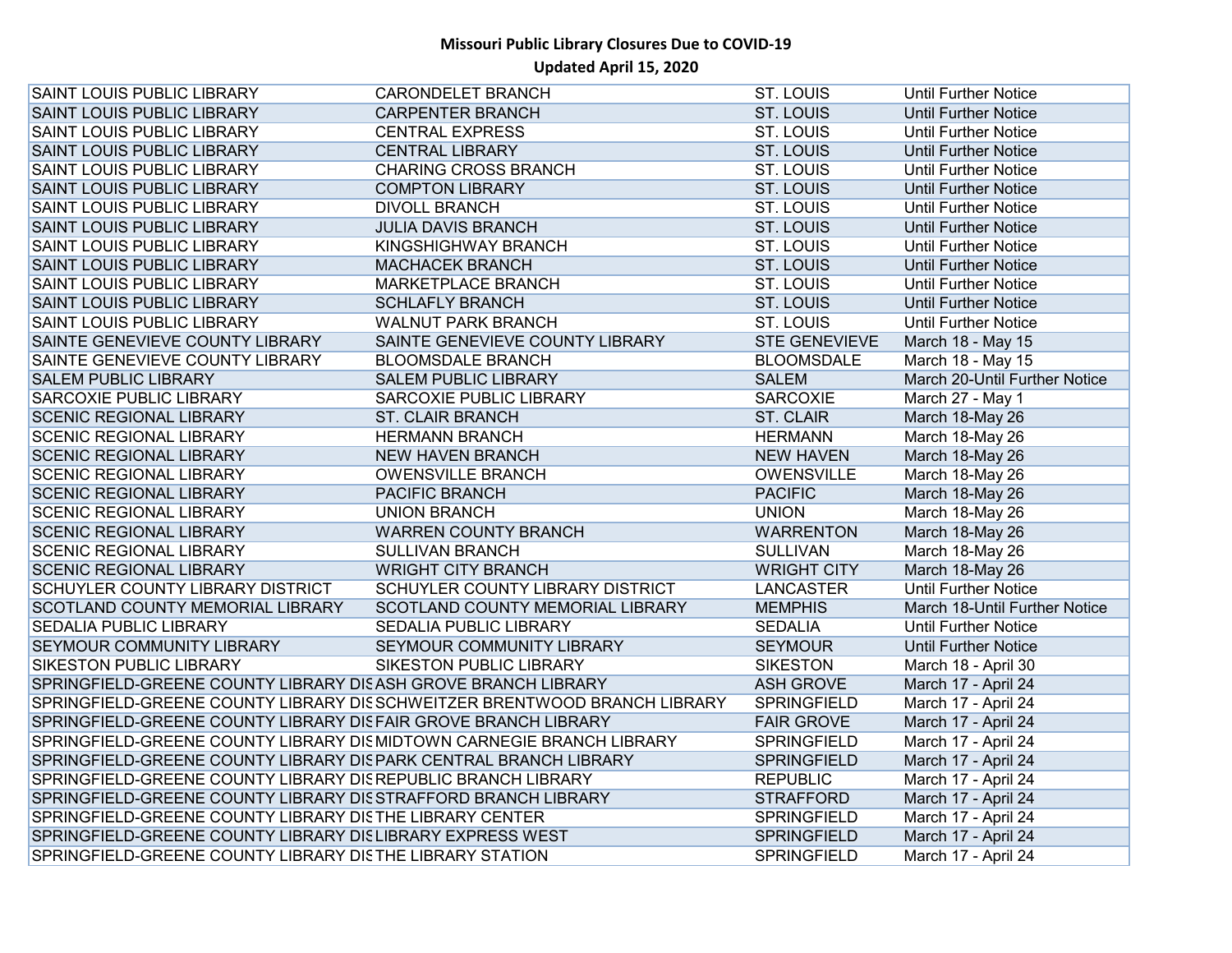| <b>SAINT LOUIS PUBLIC LIBRARY</b>                                    | <b>CARONDELET BRANCH</b>                                                  | <b>ST. LOUIS</b>     | <b>Until Further Notice</b>   |
|----------------------------------------------------------------------|---------------------------------------------------------------------------|----------------------|-------------------------------|
| <b>SAINT LOUIS PUBLIC LIBRARY</b>                                    | <b>CARPENTER BRANCH</b>                                                   | ST. LOUIS            | <b>Until Further Notice</b>   |
| <b>SAINT LOUIS PUBLIC LIBRARY</b>                                    | <b>CENTRAL EXPRESS</b>                                                    | <b>ST. LOUIS</b>     | <b>Until Further Notice</b>   |
| <b>SAINT LOUIS PUBLIC LIBRARY</b>                                    | <b>CENTRAL LIBRARY</b>                                                    | <b>ST. LOUIS</b>     | <b>Until Further Notice</b>   |
| <b>SAINT LOUIS PUBLIC LIBRARY</b>                                    | <b>CHARING CROSS BRANCH</b>                                               | ST. LOUIS            | <b>Until Further Notice</b>   |
| <b>SAINT LOUIS PUBLIC LIBRARY</b>                                    | <b>COMPTON LIBRARY</b>                                                    | <b>ST. LOUIS</b>     | <b>Until Further Notice</b>   |
| <b>SAINT LOUIS PUBLIC LIBRARY</b>                                    | <b>DIVOLL BRANCH</b>                                                      | <b>ST. LOUIS</b>     | <b>Until Further Notice</b>   |
| <b>SAINT LOUIS PUBLIC LIBRARY</b>                                    | <b>JULIA DAVIS BRANCH</b>                                                 | ST. LOUIS            | <b>Until Further Notice</b>   |
| <b>SAINT LOUIS PUBLIC LIBRARY</b>                                    | <b>KINGSHIGHWAY BRANCH</b>                                                | <b>ST. LOUIS</b>     | <b>Until Further Notice</b>   |
| <b>SAINT LOUIS PUBLIC LIBRARY</b>                                    | <b>MACHACEK BRANCH</b>                                                    | ST. LOUIS            | <b>Until Further Notice</b>   |
| <b>SAINT LOUIS PUBLIC LIBRARY</b>                                    | MARKETPLACE BRANCH                                                        | ST. LOUIS            | <b>Until Further Notice</b>   |
| <b>SAINT LOUIS PUBLIC LIBRARY</b>                                    | <b>SCHLAFLY BRANCH</b>                                                    | <b>ST. LOUIS</b>     | <b>Until Further Notice</b>   |
| <b>SAINT LOUIS PUBLIC LIBRARY</b>                                    | <b>WALNUT PARK BRANCH</b>                                                 | ST. LOUIS            | <b>Until Further Notice</b>   |
| SAINTE GENEVIEVE COUNTY LIBRARY                                      | SAINTE GENEVIEVE COUNTY LIBRARY                                           | <b>STE GENEVIEVE</b> | March 18 - May 15             |
| SAINTE GENEVIEVE COUNTY LIBRARY                                      | <b>BLOOMSDALE BRANCH</b>                                                  | <b>BLOOMSDALE</b>    | March 18 - May 15             |
| <b>SALEM PUBLIC LIBRARY</b>                                          | <b>SALEM PUBLIC LIBRARY</b>                                               | <b>SALEM</b>         | March 20-Until Further Notice |
| <b>SARCOXIE PUBLIC LIBRARY</b>                                       | SARCOXIE PUBLIC LIBRARY                                                   | <b>SARCOXIE</b>      | March 27 - May 1              |
| <b>SCENIC REGIONAL LIBRARY</b>                                       | <b>ST. CLAIR BRANCH</b>                                                   | <b>ST. CLAIR</b>     | March 18-May 26               |
| <b>SCENIC REGIONAL LIBRARY</b>                                       | <b>HERMANN BRANCH</b>                                                     | <b>HERMANN</b>       | March 18-May 26               |
| <b>SCENIC REGIONAL LIBRARY</b>                                       | <b>NEW HAVEN BRANCH</b>                                                   | <b>NEW HAVEN</b>     | March 18-May 26               |
| <b>SCENIC REGIONAL LIBRARY</b>                                       | <b>OWENSVILLE BRANCH</b>                                                  | OWENSVILLE           | March 18-May 26               |
| <b>SCENIC REGIONAL LIBRARY</b>                                       | PACIFIC BRANCH                                                            | <b>PACIFIC</b>       | March 18-May 26               |
| <b>SCENIC REGIONAL LIBRARY</b>                                       | <b>UNION BRANCH</b>                                                       | <b>UNION</b>         | March 18-May 26               |
| <b>SCENIC REGIONAL LIBRARY</b>                                       | <b>WARREN COUNTY BRANCH</b>                                               | <b>WARRENTON</b>     | March 18-May 26               |
| <b>SCENIC REGIONAL LIBRARY</b>                                       | <b>SULLIVAN BRANCH</b>                                                    | <b>SULLIVAN</b>      | March 18-May 26               |
| <b>SCENIC REGIONAL LIBRARY</b>                                       | <b>WRIGHT CITY BRANCH</b>                                                 | <b>WRIGHT CITY</b>   | March 18-May 26               |
| <b>SCHUYLER COUNTY LIBRARY DISTRICT</b>                              | SCHUYLER COUNTY LIBRARY DISTRICT                                          | LANCASTER            | <b>Until Further Notice</b>   |
| <b>SCOTLAND COUNTY MEMORIAL LIBRARY</b>                              | SCOTLAND COUNTY MEMORIAL LIBRARY                                          | <b>MEMPHIS</b>       | March 18-Until Further Notice |
| <b>SEDALIA PUBLIC LIBRARY</b>                                        | <b>SEDALIA PUBLIC LIBRARY</b>                                             | <b>SEDALIA</b>       | <b>Until Further Notice</b>   |
| <b>SEYMOUR COMMUNITY LIBRARY</b>                                     | SEYMOUR COMMUNITY LIBRARY                                                 | <b>SEYMOUR</b>       | <b>Until Further Notice</b>   |
| <b>SIKESTON PUBLIC LIBRARY</b>                                       | SIKESTON PUBLIC LIBRARY                                                   | <b>SIKESTON</b>      | March 18 - April 30           |
| SPRINGFIELD-GREENE COUNTY LIBRARY DISASH GROVE BRANCH LIBRARY        |                                                                           | <b>ASH GROVE</b>     | March 17 - April 24           |
|                                                                      | SPRINGFIELD-GREENE COUNTY LIBRARY DIS SCHWEITZER BRENTWOOD BRANCH LIBRARY | <b>SPRINGFIELD</b>   | March 17 - April 24           |
| SPRINGFIELD-GREENE COUNTY LIBRARY DIS FAIR GROVE BRANCH LIBRARY      |                                                                           | <b>FAIR GROVE</b>    | March 17 - April 24           |
| SPRINGFIELD-GREENE COUNTY LIBRARY DISMIDTOWN CARNEGIE BRANCH LIBRARY |                                                                           | <b>SPRINGFIELD</b>   | March 17 - April 24           |
| SPRINGFIELD-GREENE COUNTY LIBRARY DISPARK CENTRAL BRANCH LIBRARY     |                                                                           | <b>SPRINGFIELD</b>   | March 17 - April 24           |
| SPRINGFIELD-GREENE COUNTY LIBRARY DIS REPUBLIC BRANCH LIBRARY        |                                                                           | <b>REPUBLIC</b>      | March 17 - April 24           |
| SPRINGFIELD-GREENE COUNTY LIBRARY DIS STRAFFORD BRANCH LIBRARY       |                                                                           | <b>STRAFFORD</b>     | March 17 - April 24           |
| SPRINGFIELD-GREENE COUNTY LIBRARY DISTHE LIBRARY CENTER              |                                                                           | <b>SPRINGFIELD</b>   | March 17 - April 24           |
| SPRINGFIELD-GREENE COUNTY LIBRARY DISLIBRARY EXPRESS WEST            |                                                                           | <b>SPRINGFIELD</b>   | March 17 - April 24           |
| SPRINGFIELD-GREENE COUNTY LIBRARY DISTHE LIBRARY STATION             |                                                                           | <b>SPRINGFIELD</b>   | March 17 - April 24           |